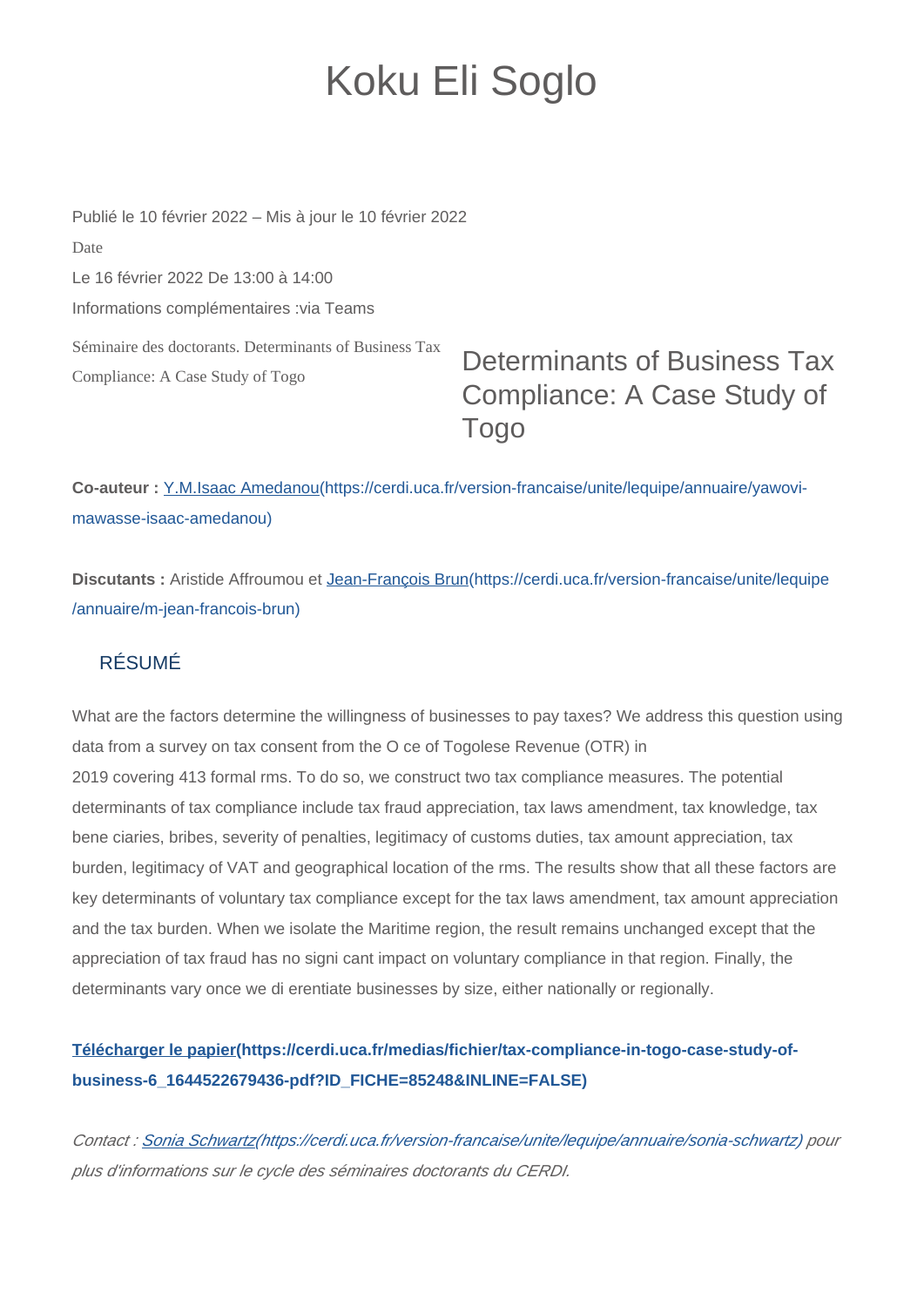## Koku Eli Soglo

Séminaire des doctorants. Determinants of Business Tax Compliance: A Case Study of Togo Publié le 10 février 2022 – Mis à jour le 10 février 2022 Date Le 16 février 2022 De 13:00 à 14:00 Informations complémentaires :via Teams

## Determinants of Business Tax Compliance: A Case Study of Togo

**Co-auteur :** [Y.M.Isaac Amedanou\(https://cerdi.uca.fr/version-francaise/unite/lequipe/annuaire/yawovi](https://cerdi.uca.fr/version-francaise/unite/lequipe/annuaire/yawovi-mawasse-isaac-amedanou)[mawasse-isaac-amedanou\)](https://cerdi.uca.fr/version-francaise/unite/lequipe/annuaire/yawovi-mawasse-isaac-amedanou)

**Discutants :** Aristide Affroumou et [Jean-François Brun\(https://cerdi.uca.fr/version-francaise/unite/lequipe](https://cerdi.uca.fr/version-francaise/unite/lequipe/annuaire/m-jean-francois-brun) [/annuaire/m-jean-francois-brun\)](https://cerdi.uca.fr/version-francaise/unite/lequipe/annuaire/m-jean-francois-brun)

## RÉSUMÉ

What are the factors determine the willingness of businesses to pay taxes? We address this question using data from a survey on tax consent from the O ce of Togolese Revenue (OTR) in 2019 covering 413 formal rms. To do so, we construct two tax compliance measures. The potential determinants of tax compliance include tax fraud appreciation, tax laws amendment, tax knowledge, tax bene ciaries, bribes, severity of penalties, legitimacy of customs duties, tax amount appreciation, tax burden, legitimacy of VAT and geographical location of the rms. The results show that all these factors are key determinants of voluntary tax compliance except for the tax laws amendment, tax amount appreciation and the tax burden. When we isolate the Maritime region, the result remains unchanged except that the appreciation of tax fraud has no signi cant impact on voluntary compliance in that region. Finally, the determinants vary once we di erentiate businesses by size, either nationally or regionally.

## **[Télécharger le papier\(https://cerdi.uca.fr/medias/fichier/tax-compliance-in-togo-case-study-of](https://cerdi.uca.fr/medias/fichier/tax-compliance-in-togo-case-study-of-business-6_1644522679436-pdf?ID_FICHE=85248&INLINE=FALSE)[business-6\\_1644522679436-pdf?ID\\_FICHE=85248&INLINE=FALSE\)](https://cerdi.uca.fr/medias/fichier/tax-compliance-in-togo-case-study-of-business-6_1644522679436-pdf?ID_FICHE=85248&INLINE=FALSE)**

Contact : [Sonia Schwartz\(https://cerdi.uca.fr/version-francaise/unite/lequipe/annuaire/sonia-schwartz\)](https://cerdi.uca.fr/version-francaise/unite/lequipe/annuaire/sonia-schwartz) pour plus d'informations sur le cycle des séminaires doctorants du CERDI.